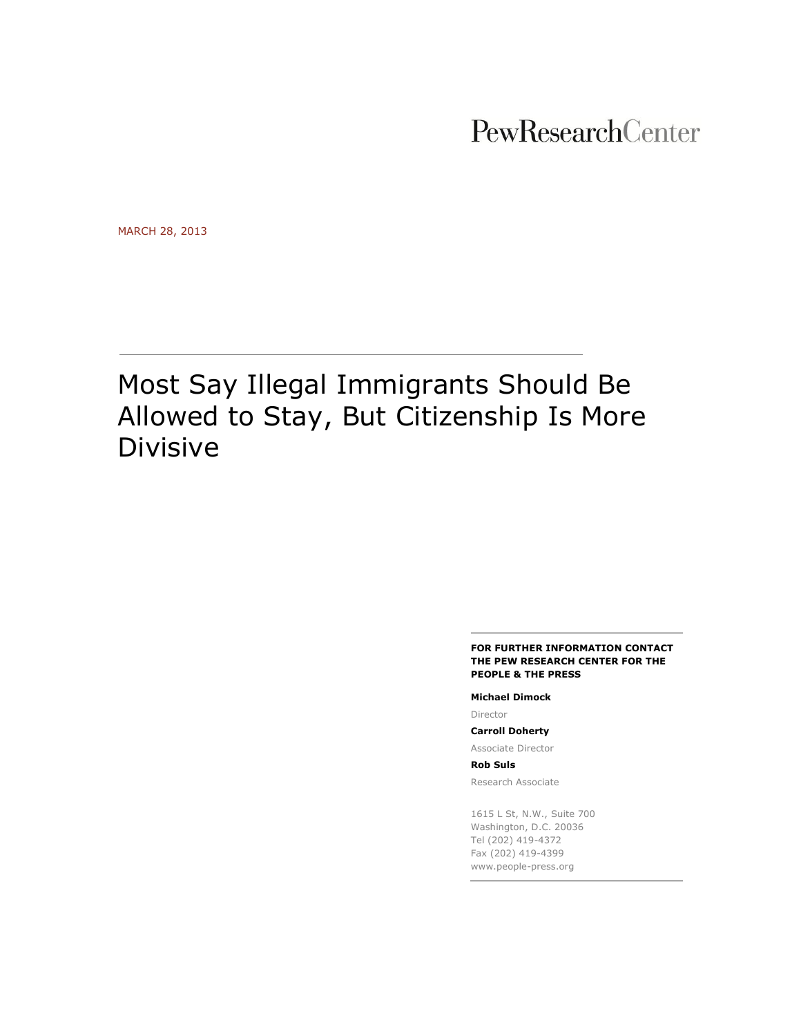PewResearchCenter

MARCH 28, 2013

# Most Say Illegal Immigrants Should Be Allowed to Stay, But Citizenship Is More Divisive

#### **FOR FURTHER INFORMATION CONTACT THE PEW RESEARCH CENTER FOR THE PEOPLE & THE PRESS**

#### **Michael Dimock**

Director

#### **Carroll Doherty**

Associate Director

**Rob Suls**

Research Associate

1615 L St, N.W., Suite 700 Washington, D.C. 20036 Tel (202) 419-4372 Fax (202) 419-4399 www.people-press.org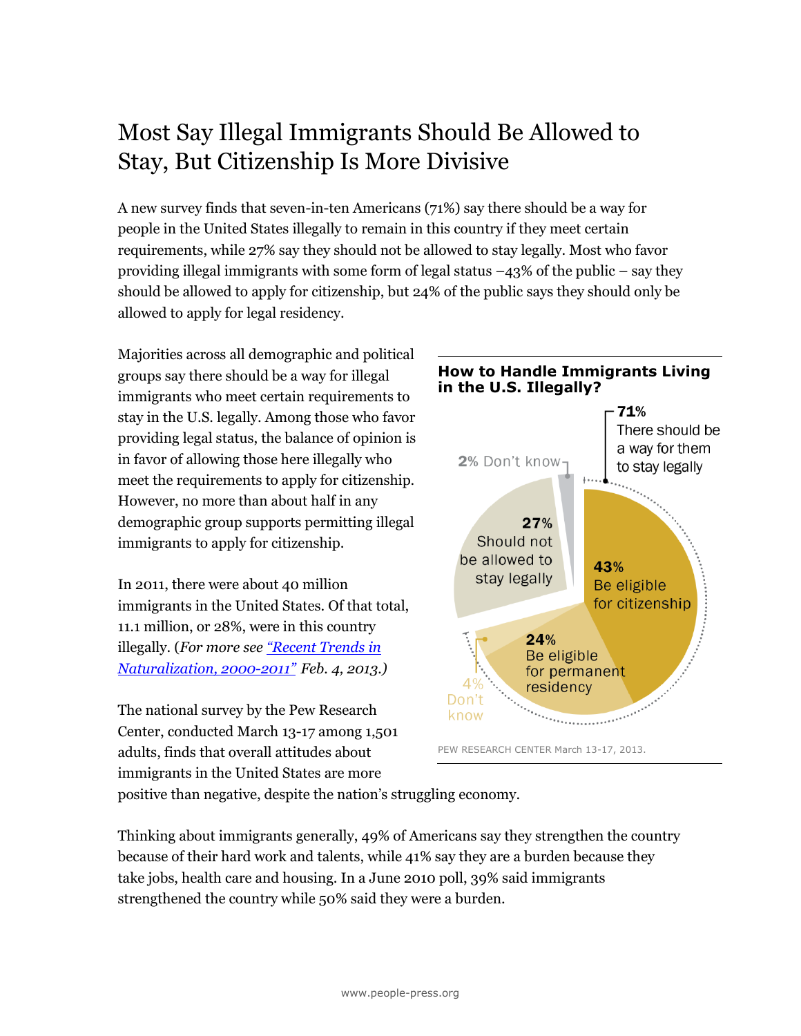## Most Say Illegal Immigrants Should Be Allowed to Stay, But Citizenship Is More Divisive

A new survey finds that seven-in-ten Americans (71%) say there should be a way for people in the United States illegally to remain in this country if they meet certain requirements, while 27% say they should not be allowed to stay legally. Most who favor providing illegal immigrants with some form of legal status  $-43\%$  of the public – say they should be allowed to apply for citizenship, but 24% of the public says they should only be allowed to apply for legal residency.

Majorities across all demographic and political groups say there should be a way for illegal immigrants who meet certain requirements to stay in the U.S. legally. Among those who favor providing legal status, the balance of opinion is in favor of allowing those here illegally who meet the requirements to apply for citizenship. However, no more than about half in any demographic group supports permitting illegal immigrants to apply for citizenship.

In 2011, there were about 40 million immigrants in the United States. Of that total, 11.1 million, or 28%, were in this country illegally. (*For more see ["Recent Tren](http://www.pewhispanic.org/2013/02/04/ii-recent-trends-in-naturalization-2000-2011-2/)ds in [Naturalization, 2000-](http://www.pewhispanic.org/2013/02/04/ii-recent-trends-in-naturalization-2000-2011-2/)2011" Feb. 4, 2013.)*

The national survey by the Pew Research Center, conducted March 13-17 among 1,501 adults, finds that overall attitudes about immigrants in the United States are more

## **in the U.S. Illegally?** 71% There should be a way for them 2% Don't know to stay legally 27% Should not be allowed to 43% stay legally Be eligible for citizenship 24% Be eligible for permanent residency Don't know

**How to Handle Immigrants Living** 

PEW RESEARCH CENTER March 13-17, 2013.

positive than negative, despite the nation's struggling economy.

Thinking about immigrants generally, 49% of Americans say they strengthen the country because of their hard work and talents, while 41% say they are a burden because they take jobs, health care and housing. In a June 2010 poll, 39% said immigrants strengthened the country while 50% said they were a burden.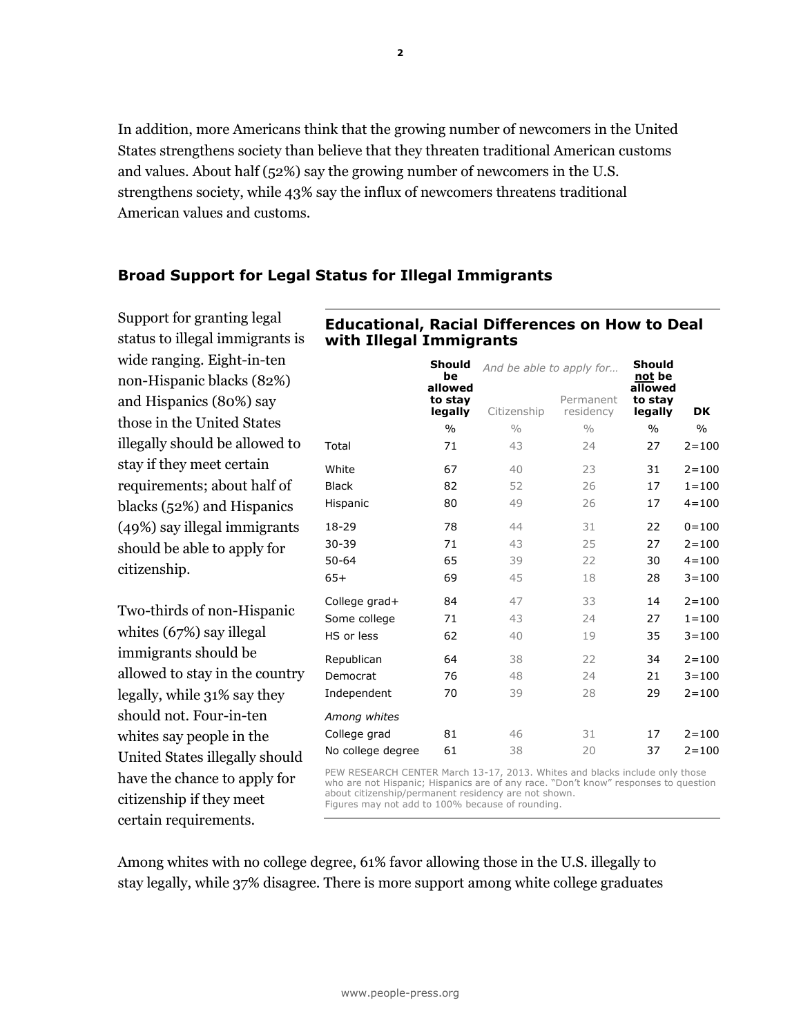In addition, more Americans think that the growing number of newcomers in the United States strengthens society than believe that they threaten traditional American customs and values. About half (52%) say the growing number of newcomers in the U.S. strengthens society, while 43% say the influx of newcomers threatens traditional American values and customs.

## **Broad Support for Legal Status for Illegal Immigrants**

Support for granting legal status to illegal immigrants is wide ranging. Eight-in-ten non-Hispanic blacks (82%) and Hispanics (80%) say those in the United States illegally should be allowed to stay if they meet certain requirements; about half of blacks (52%) and Hispanics (49%) say illegal immigrants should be able to apply for citizenship.

Two-thirds of non-Hispanic whites (67%) say illegal immigrants should be allowed to stay in the country legally, while 31% say they should not. Four-in-ten whites say people in the United States illegally should have the chance to apply for citizenship if they meet certain requirements.

## **Educational, Racial Differences on How to Deal with Illegal Immigrants**

|                   | Should<br>be<br>allowed | And be able to apply for |                        | <b>Should</b><br>not be<br>allowed |               |
|-------------------|-------------------------|--------------------------|------------------------|------------------------------------|---------------|
|                   | to stay<br>legally      | Citizenship              | Permanent<br>residency | to stay<br>legally                 | DK            |
|                   | $\frac{0}{0}$           | 0/0                      | 0/0                    | $\frac{0}{0}$                      | $\frac{0}{0}$ |
| Total             | 71                      | 43                       | 24                     | 27                                 | $2 = 100$     |
| White             | 67                      | 40                       | 23                     | 31                                 | $2 = 100$     |
| <b>Black</b>      | 82                      | 52                       | 26                     | 17                                 | $1 = 100$     |
| Hispanic          | 80                      | 49                       | 26                     | 17                                 | $4 = 100$     |
| 18-29             | 78                      | 44                       | 31                     | 22                                 | $0 = 100$     |
| $30 - 39$         | 71                      | 43                       | 25                     | 27                                 | $2 = 100$     |
| $50 - 64$         | 65                      | 39                       | 22                     | 30                                 | $4 = 100$     |
| $65+$             | 69                      | 45                       | 18                     | 28                                 | $3 = 100$     |
| College grad+     | 84                      | 47                       | 33                     | 14                                 | $2 = 100$     |
| Some college      | 71                      | 43                       | 24                     | 27                                 | $1 = 100$     |
| HS or less        | 62                      | 40                       | 19                     | 35                                 | $3 = 100$     |
| Republican        | 64                      | 38                       | 22                     | 34                                 | $2 = 100$     |
| Democrat          | 76                      | 48                       | 24                     | 21                                 | $3 = 100$     |
| Independent       | 70                      | 39                       | 28                     | 29                                 | $2 = 100$     |
| Among whites      |                         |                          |                        |                                    |               |
| College grad      | 81                      | 46                       | 31                     | 17                                 | $2 = 100$     |
| No college degree | 61                      | 38                       | 20                     | 37                                 | $2 = 100$     |

PEW RESEARCH CENTER March 13-17, 2013. Whites and blacks include only those who are not Hispanic; Hispanics are of any race. "Don't know" responses to question about citizenship/permanent residency are not shown. Figures may not add to 100% because of rounding.

Among whites with no college degree, 61% favor allowing those in the U.S. illegally to stay legally, while 37% disagree. There is more support among white college graduates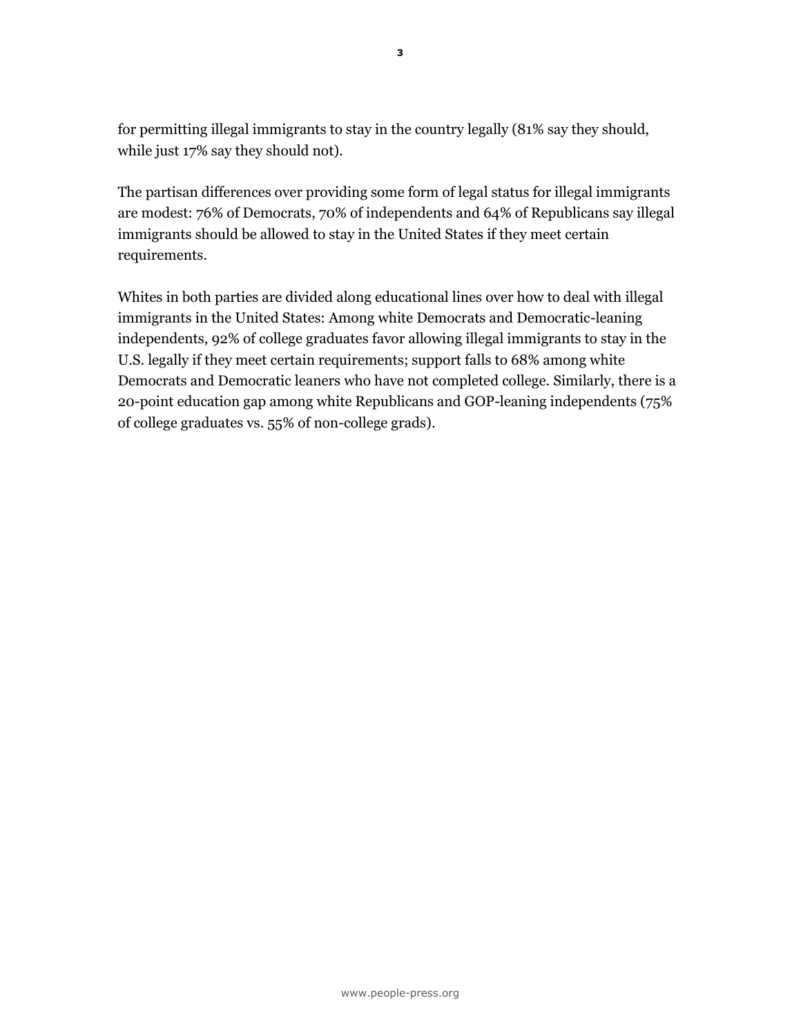for permitting illegal immigrants to stay in the country legally (81% say they should, while just 17% say they should not).

The partisan differences over providing some form of legal status for illegal immigrants are modest: 76% of Democrats, 70% of independents and 64% of Republicans say illegal immigrants should be allowed to stay in the United States if they meet certain requirements.

Whites in both parties are divided along educational lines over how to deal with illegal immigrants in the United States: Among white Democrats and Democratic-leaning independents, 92% of college graduates favor allowing illegal immigrants to stay in the U.S. legally if they meet certain requirements; support falls to 68% among white Democrats and Democratic leaners who have not completed college. Similarly, there is a 20-point education gap among white Republicans and GOP-leaning independents (75% of college graduates vs. 55% of non-college grads).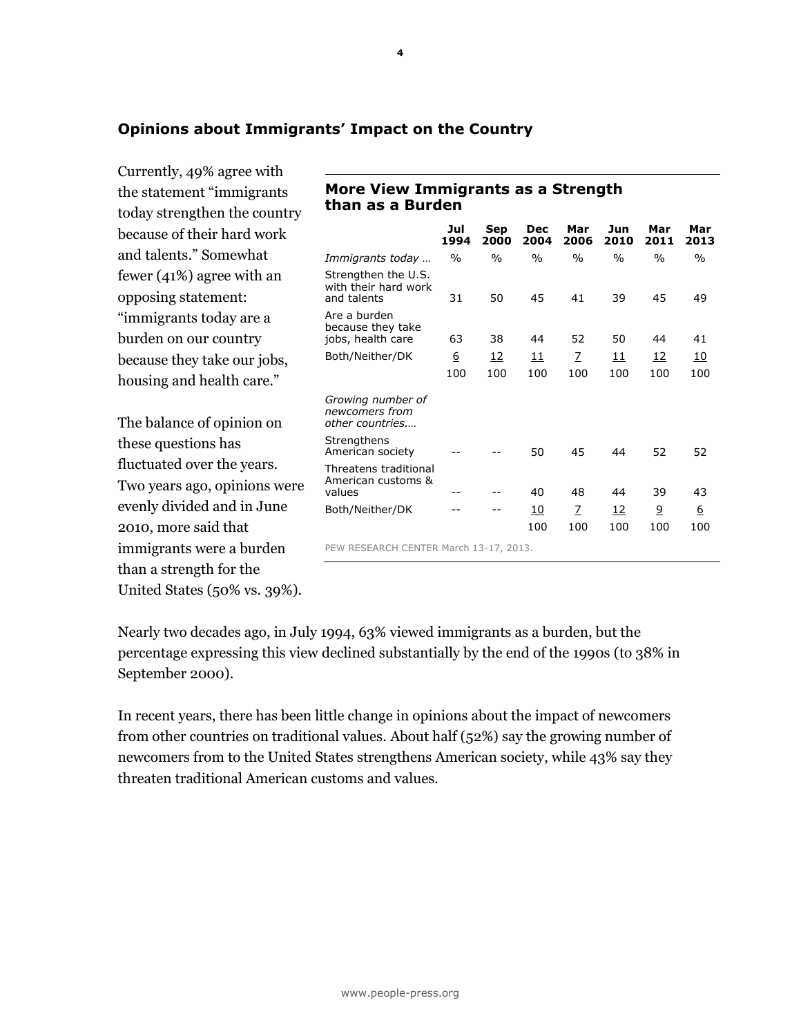## **Opinions about Immigrants' Impact on the Country**

Currently, 49% agree with the statement "immigrants today strengthen the country because of their hard work and talents." Somewhat fewer (41%) agree with an opposing statement: "immigrants today are a burden on our country because they take our jobs, housing and health care."

The balance of opinion on these questions has fluctuated over the years. Two years ago, opinions were evenly divided and in June 2010, more said that immigrants were a burden than a strength for the United States (50% vs. 39%).

## **More View Immigrants as a Strength than as a Burden**

|                                                                       | Jul<br>1994 | Sep<br>2000 | Dec<br>2004      | Mar<br>2006   | Jun<br>2010      | Mar<br>2011 | Mar<br>2013 |
|-----------------------------------------------------------------------|-------------|-------------|------------------|---------------|------------------|-------------|-------------|
| Immigrants today                                                      | $\%$        | $\%$        | $\%$             | $\frac{0}{0}$ | $\frac{0}{0}$    | $\%$        | $\%$        |
| Strengthen the U.S.<br>with their hard work<br>and talents            | 31          | 50          | 45               | 41            | 39               | 45          | 49          |
| Are a burden<br>because they take<br>jobs, health care                | 63          | 38          | 44               | 52            | 50               | 44          | 41          |
| Both/Neither/DK                                                       | <u>6</u>    | <u>12</u>   | 11               | Z             | <u> 11</u>       | <u>12</u>   | <u>10</u>   |
|                                                                       | 100         | 100         | 100              | 100           | 100              | 100         | 100         |
| Growing number of<br>newcomers from<br>other countries<br>Strengthens |             |             |                  |               |                  |             |             |
| American society                                                      |             |             | 50               | 45            | 44               | 52          | 52          |
| Threatens traditional<br>American customs &<br>values                 |             |             | 40               | 48            | 44               | 39          | 43          |
| Both/Neither/DK                                                       |             |             | <u>10</u><br>100 | Z<br>100      | <u>12</u><br>100 | 9<br>100    | 6<br>100    |
| PEW RESEARCH CENTER March 13-17, 2013.                                |             |             |                  |               |                  |             |             |

Nearly two decades ago, in July 1994, 63% viewed immigrants as a burden, but the percentage expressing this view declined substantially by the end of the 1990s (to 38% in September 2000).

In recent years, there has been little change in opinions about the impact of newcomers from other countries on traditional values. About half (52%) say the growing number of newcomers from to the United States strengthens American society, while 43% say they threaten traditional American customs and values.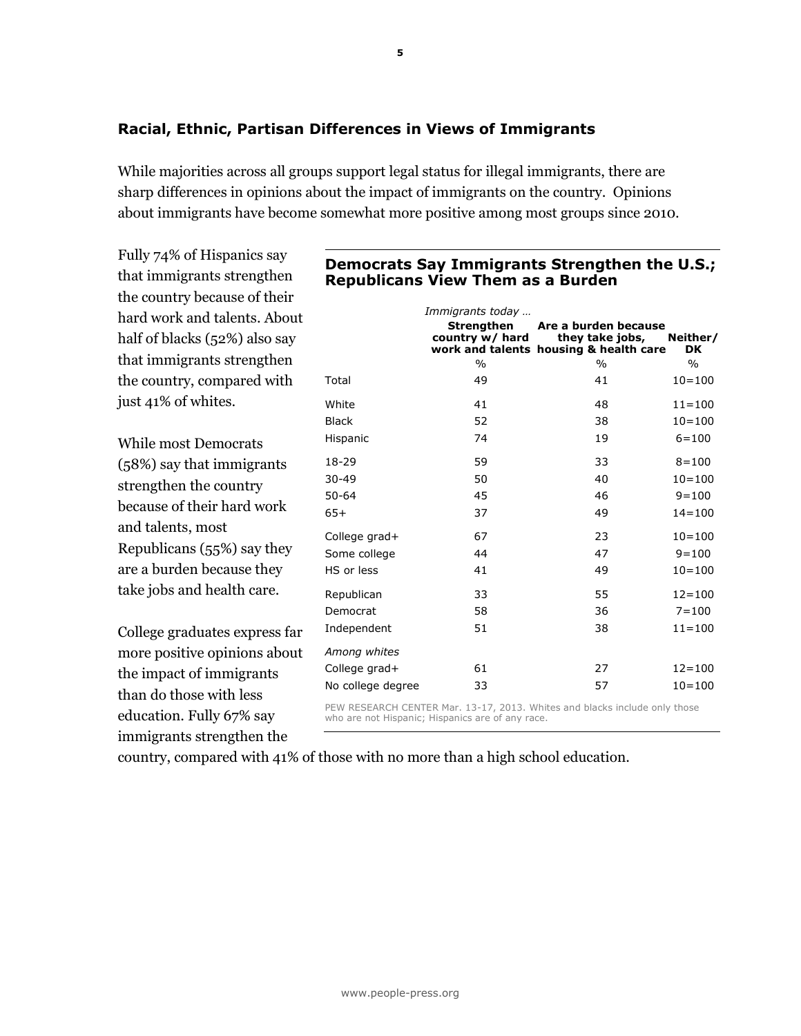## **Racial, Ethnic, Partisan Differences in Views of Immigrants**

While majorities across all groups support legal status for illegal immigrants, there are sharp differences in opinions about the impact of immigrants on the country. Opinions about immigrants have become somewhat more positive among most groups since 2010.

**5**

hard work and talents. About just 41% of whites. take jobs and health care. College graduates express far more positive opinions about the impact of immigrants **Republicans View Them as a Burden**  *Immigrants today …* **Strengthen country w/ hard work and talents housing & health care Are a burden because they take jobs, Neither/ DK**  $\%$  %  $\%$ Total 49 41 10=100 White 41 48 11=100 Black 52 38 10=100 Hispanic 74 19 6=100 18-29 59 33 8=100 30-49 50 40 10=100 50-64 45 46 9=100 65+ 37 49 14=100 College grad+ 67 23 10=100 Some college  $44$  47  $9=100$ HS or less  $41$   $49$   $10=100$ Republican 33 55 12=100 Democrat 58 36 7=100 Independent 51 38 11=100 *Among whites* College grad+ 61 27 12=100 No college degree 33 57 10=100

> PEW RESEARCH CENTER Mar. 13-17, 2013. Whites and blacks include only those who are not Hispanic; Hispanics are of any race.

Fully 74% of Hispanics say that immigrants strengthen the country because of their half of blacks (52%) also say that immigrants strengthen the country, compared with

While most Democrats (58%) say that immigrants strengthen the country because of their hard work and talents, most Republicans (55%) say they are a burden because they

than do those with less education. Fully 67% say immigrants strengthen the

country, compared with 41% of those with no more than a high school education.

# **Democrats Say Immigrants Strengthen the U.S.;**

www.people-press.org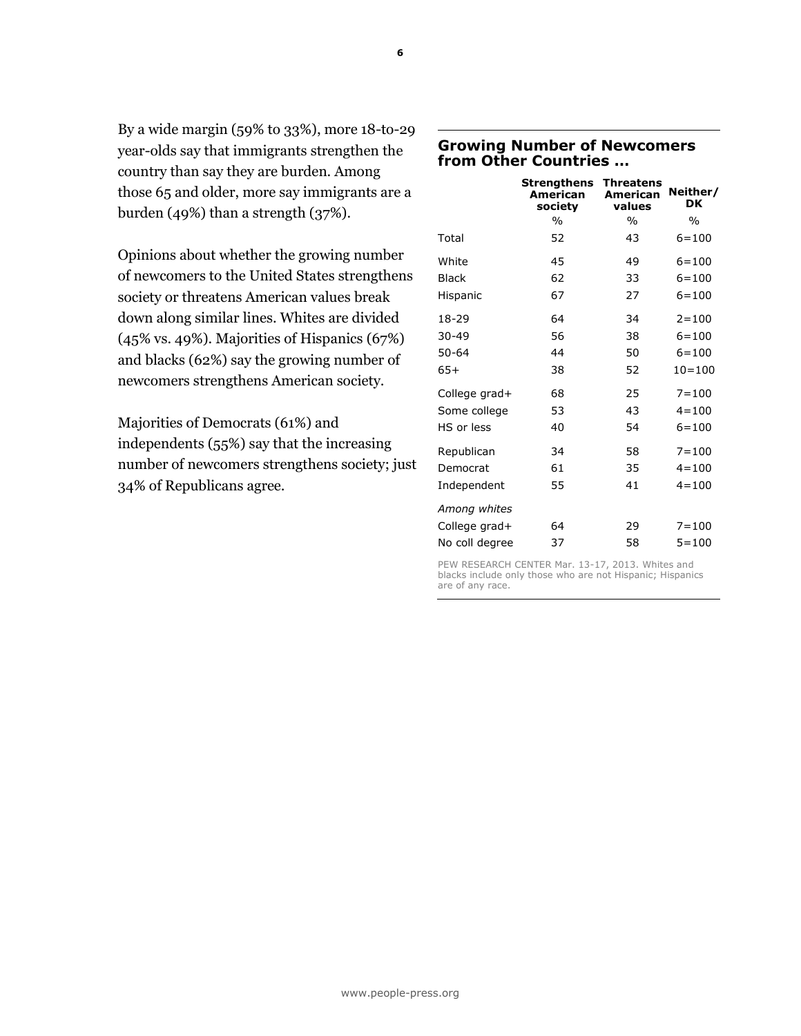| By a wide margin (59% to 33%), more 18-to-29  |
|-----------------------------------------------|
| year-olds say that immigrants strengthen the  |
| country than say they are burden. Among       |
| those 65 and older, more say immigrants are a |
| burden $(49%)$ than a strength $(37%).$       |

Opinions about whether the growing number of newcomers to the United States strengthens society or threatens American values break down along similar lines. Whites are divided (45% vs. 49%). Majorities of Hispanics (67%) and blacks (62%) say the growing number of newcomers strengthens American society.

Majorities of Democrats (61%) and independents (55%) say that the increasing number of newcomers strengthens society; just 34% of Republicans agree.

## **Growing Number of Newcomers from Other Countries …**

|                | Strengthens<br>American<br>society | <b>Threatens</b><br>American<br>values | Neither/<br>DK |
|----------------|------------------------------------|----------------------------------------|----------------|
|                | $\%$                               | $\frac{0}{0}$                          | $\frac{0}{0}$  |
| Total          | 52                                 | 43                                     | $6 = 100$      |
| White          | 45                                 | 49                                     | $6 = 100$      |
| <b>Black</b>   | 62                                 | 33                                     | $6 = 100$      |
| Hispanic       | 67                                 | 27                                     | $6 = 100$      |
| 18-29          | 64                                 | 34                                     | $2 = 100$      |
| $30 - 49$      | 56                                 | 38                                     | $6 = 100$      |
| $50 - 64$      | 44                                 | 50                                     | $6 = 100$      |
| $65+$          | 38                                 | 52                                     | $10 = 100$     |
| College grad+  | 68                                 | 25                                     | $7 = 100$      |
| Some college   | 53                                 | 43                                     | $4 = 100$      |
| HS or less     | 40                                 | 54                                     | $6 = 100$      |
| Republican     | 34                                 | 58                                     | $7 = 100$      |
| Democrat       | 61                                 | 35                                     | $4 = 100$      |
| Independent    | 55                                 | 41                                     | $4 = 100$      |
| Among whites   |                                    |                                        |                |
| College grad+  | 64                                 | 29                                     | $7 = 100$      |
| No coll degree | 37                                 | 58                                     | $5 = 100$      |

PEW RESEARCH CENTER Mar. 13-17, 2013. Whites and blacks include only those who are not Hispanic; Hispanics are of any race.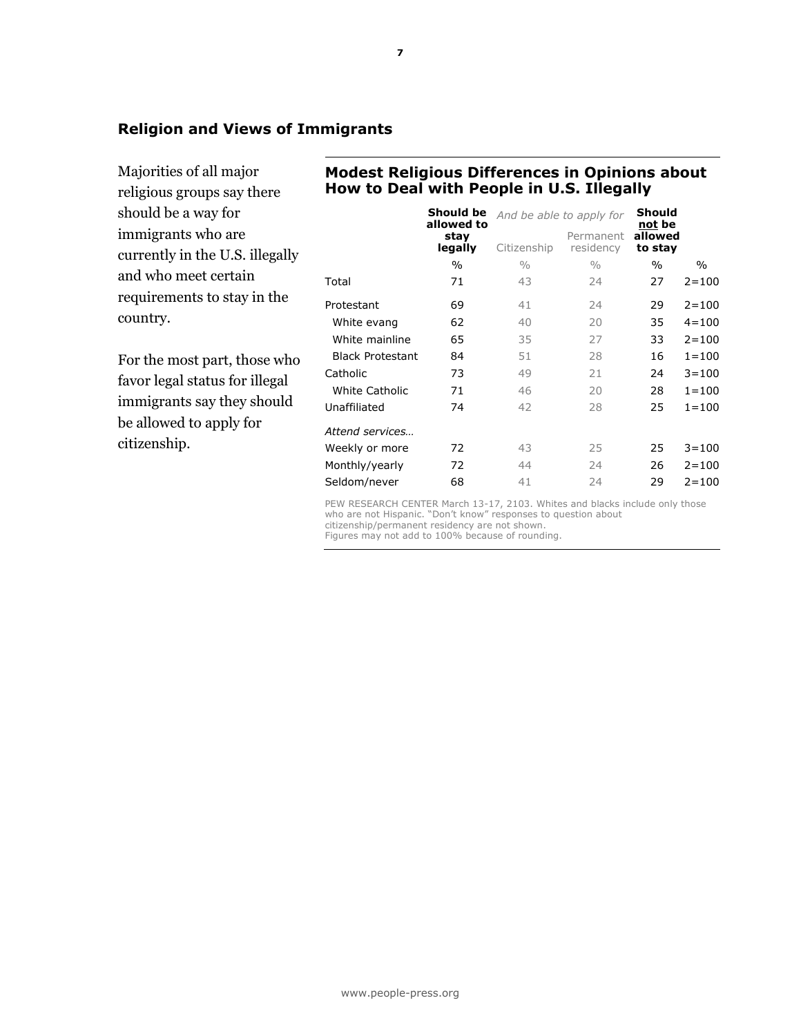## **Religion and Views of Immigrants**

Majorities of all major religious groups say there should be a way for immigrants who are currently in the U.S. illegally and who meet certain requirements to stay in the country.

For the most part, those who favor legal status for illegal immigrants say they should be allowed to apply for citizenship.

## **Modest Religious Differences in Opinions about How to Deal with People in U.S. Illegally**

|                         | Should be<br>allowed to | And be able to apply for |                        | Should<br>not be   |           |
|-------------------------|-------------------------|--------------------------|------------------------|--------------------|-----------|
|                         | stay<br>legally         | Citizenship              | Permanent<br>residency | allowed<br>to stay |           |
|                         | $\frac{0}{0}$           | $\frac{0}{0}$            | $\frac{0}{0}$          | $\frac{0}{0}$      | $\%$      |
| Total                   | 71                      | 43                       | 24                     | 27                 | $2 = 100$ |
| Protestant              | 69                      | 41                       | 24                     | 29                 | $2 = 100$ |
| White evang             | 62                      | 40                       | 20                     | 35                 | $4 = 100$ |
| White mainline          | 65                      | 35                       | 27                     | 33                 | $2 = 100$ |
| <b>Black Protestant</b> | 84                      | 51                       | 28                     | 16                 | $1 = 100$ |
| Catholic                | 73                      | 49                       | 21                     | 24                 | $3 = 100$ |
| White Catholic          | 71                      | 46                       | 20                     | 28                 | $1 = 100$ |
| Unaffiliated            | 74                      | 42                       | 28                     | 25                 | $1 = 100$ |
| Attend services         |                         |                          |                        |                    |           |
| Weekly or more          | 72                      | 43                       | 25                     | 25                 | $3 = 100$ |
| Monthly/yearly          | 72                      | 44                       | 24                     | 26                 | $2 = 100$ |
| Seldom/never            | 68                      | 41                       | 24                     | 29                 | $2 = 100$ |

PEW RESEARCH CENTER March 13-17, 2103. Whites and blacks include only those who are not Hispanic. "Don't know" responses to question about citizenship/permanent residency are not shown. Figures may not add to 100% because of rounding.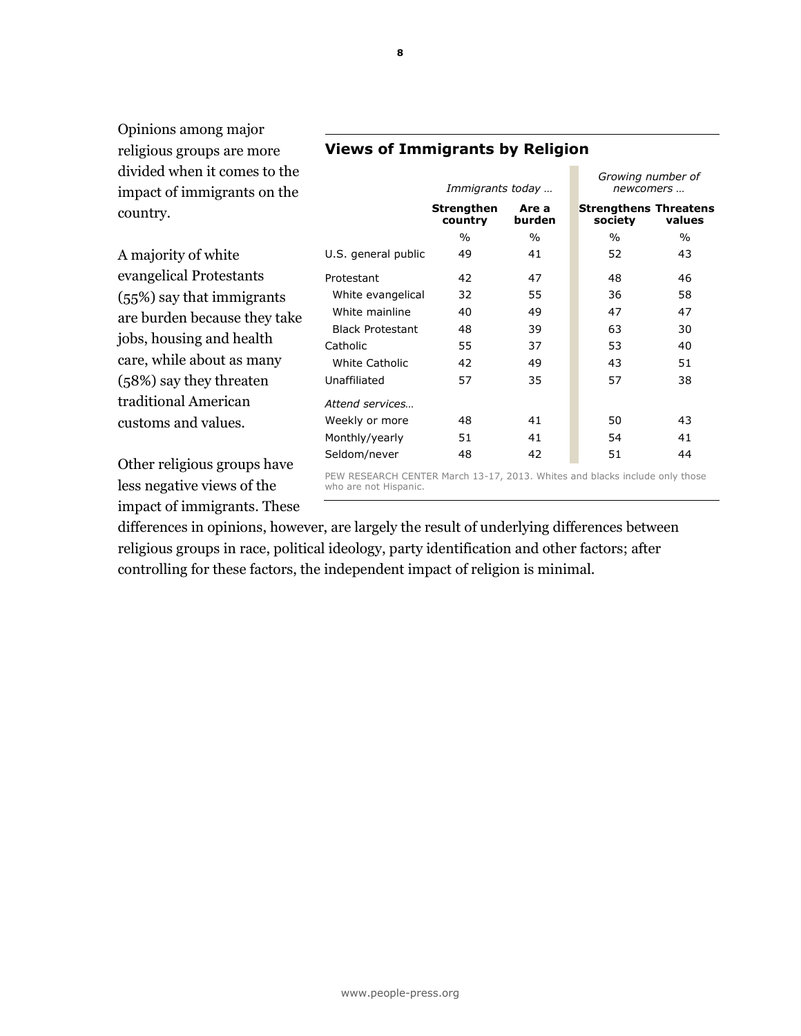Opinions among major religious groups are more divided when it comes to the impact of immigrants on the country.

A majority of white evangelical Protestants (55%) say that immigrants are burden because they take jobs, housing and health care, while about as many (58%) say they threaten traditional American customs and values.

Other religious groups have less negative views of the impact of immigrants. These

#### *Immigrants today … newcomers …* **Strengthen country Are a burden Strengthens Threatens society**   $\%$  %  $\%$  %  $\%$ U.S. general public  $49$  41 52 43 Protestant 42 47 48 46 White evangelical 32 55 36 58 White mainline  $40 \t 49 \t 47 \t 47$ Black Protestant 48 39 63 30 Catholic 55 37 53 40 White Catholic  $42$   $49$   $43$   $51$ Unaffiliated 57 35 57 38 *Attend services…*

PEW RESEARCH CENTER March 13-17, 2013. Whites and blacks include only those who are not Hispanic.

Weekly or more  $48$  41 50 43 Monthly/yearly 51 41 54 41 Seldom/never 48 42 51 44

*Growing number of* 

**values** 

differences in opinions, however, are largely the result of underlying differences between religious groups in race, political ideology, party identification and other factors; after controlling for these factors, the independent impact of religion is minimal.

## **Views of Immigrants by Religion**

**8**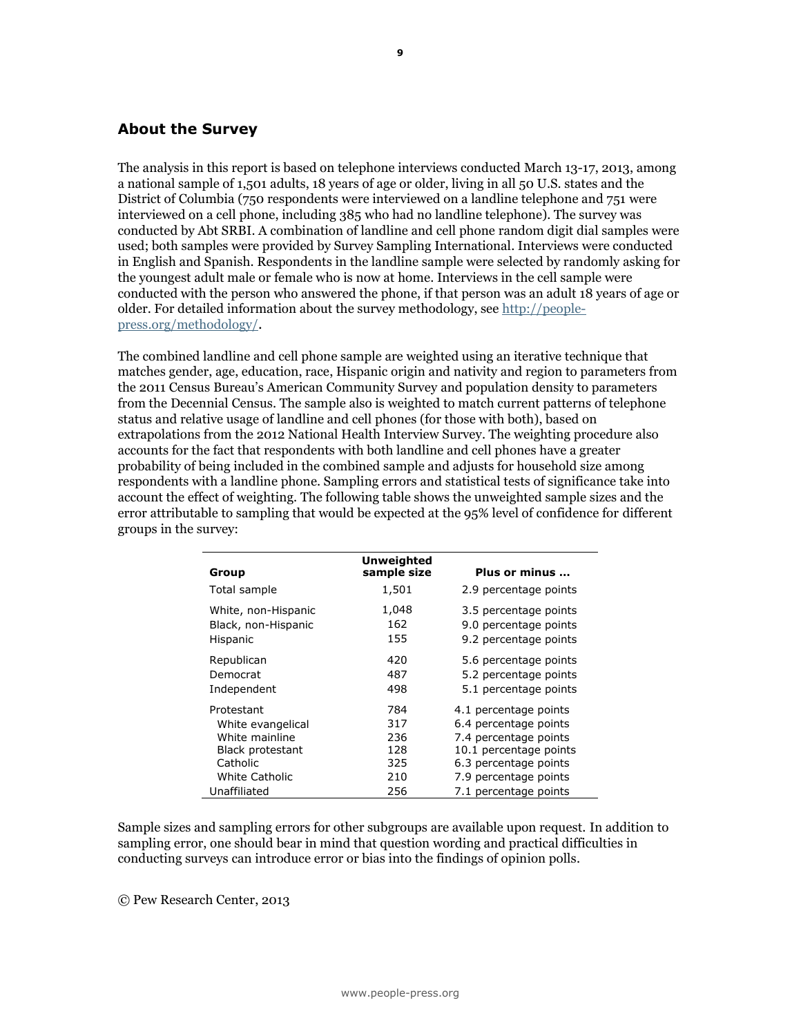### **About the Survey**

The analysis in this report is based on telephone interviews conducted March 13-17, 2013, among a national sample of 1,501 adults, 18 years of age or older, living in all 50 U.S. states and the District of Columbia (750 respondents were interviewed on a landline telephone and 751 were interviewed on a cell phone, including 385 who had no landline telephone). The survey was conducted by Abt SRBI. A combination of landline and cell phone random digit dial samples were used; both samples were provided by Survey Sampling International. Interviews were conducted in English and Spanish. Respondents in the landline sample were selected by randomly asking for the youngest adult male or female who is now at home. Interviews in the cell sample were conducted with the person who answered the phone, if that person was an adult 18 years of age or older. For detailed information about the survey methodology, see [http://people](http://people-press.org/methodology/)[press.org/methodology/](http://people-press.org/methodology/).

The combined landline and cell phone sample are weighted using an iterative technique that matches gender, age, education, race, Hispanic origin and nativity and region to parameters from the 2011 Census Bureau's American Community Survey and population density to parameters from the Decennial Census. The sample also is weighted to match current patterns of telephone status and relative usage of landline and cell phones (for those with both), based on extrapolations from the 2012 National Health Interview Survey. The weighting procedure also accounts for the fact that respondents with both landline and cell phones have a greater probability of being included in the combined sample and adjusts for household size among respondents with a landline phone. Sampling errors and statistical tests of significance take into account the effect of weighting. The following table shows the unweighted sample sizes and the error attributable to sampling that would be expected at the 95% level of confidence for different groups in the survey:

| Group                   | <b>Unweighted</b><br>sample size | Plus or minus          |
|-------------------------|----------------------------------|------------------------|
| Total sample            | 1,501                            | 2.9 percentage points  |
| White, non-Hispanic     | 1,048                            | 3.5 percentage points  |
| Black, non-Hispanic     | 162                              | 9.0 percentage points  |
| Hispanic                | 155                              | 9.2 percentage points  |
| Republican              | 420                              | 5.6 percentage points  |
| Democrat                | 487                              | 5.2 percentage points  |
| Independent             | 498                              | 5.1 percentage points  |
| Protestant              | 784                              | 4.1 percentage points  |
| White evangelical       | 317                              | 6.4 percentage points  |
| White mainline          | 236                              | 7.4 percentage points  |
| <b>Black protestant</b> | 128                              | 10.1 percentage points |
| Catholic                | 325                              | 6.3 percentage points  |
| White Catholic          | 210                              | 7.9 percentage points  |
| Unaffiliated            | 256                              | 7.1 percentage points  |

Sample sizes and sampling errors for other subgroups are available upon request. In addition to sampling error, one should bear in mind that question wording and practical difficulties in conducting surveys can introduce error or bias into the findings of opinion polls.

© Pew Research Center, 2013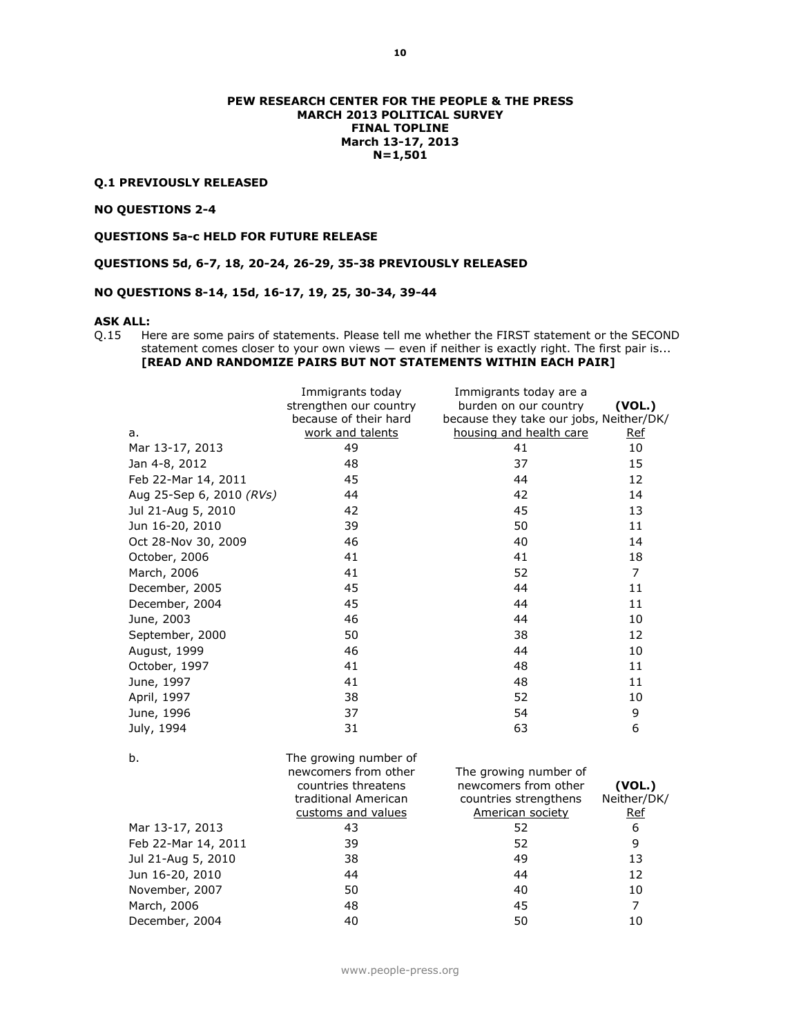#### **Q.1 PREVIOUSLY RELEASED**

#### **NO QUESTIONS 2-4**

**QUESTIONS 5a-c HELD FOR FUTURE RELEASE**

**QUESTIONS 5d, 6-7, 18, 20-24, 26-29, 35-38 PREVIOUSLY RELEASED**

**NO QUESTIONS 8-14, 15d, 16-17, 19, 25, 30-34, 39-44**

#### **ASK ALL:**

Q.15 Here are some pairs of statements. Please tell me whether the FIRST statement or the SECOND statement comes closer to your own views — even if neither is exactly right. The first pair is... **[READ AND RANDOMIZE PAIRS BUT NOT STATEMENTS WITHIN EACH PAIR]**

|                          | Immigrants today       | Immigrants today are a                  |                |
|--------------------------|------------------------|-----------------------------------------|----------------|
|                          | strengthen our country | burden on our country                   | (VOL.)         |
|                          | because of their hard  | because they take our jobs, Neither/DK/ |                |
| a.                       | work and talents       | housing and health care                 | Ref            |
| Mar 13-17, 2013          | 49                     | 41                                      | 10             |
| Jan 4-8, 2012            | 48                     | 37                                      | 15             |
| Feb 22-Mar 14, 2011      | 45                     | 44                                      | 12             |
| Aug 25-Sep 6, 2010 (RVs) | 44                     | 42                                      | 14             |
| Jul 21-Aug 5, 2010       | 42                     | 45                                      | 13             |
| Jun 16-20, 2010          | 39                     | 50                                      | 11             |
| Oct 28-Nov 30, 2009      | 46                     | 40                                      | 14             |
| October, 2006            | 41                     | 41                                      | 18             |
| March, 2006              | 41                     | 52                                      | $\overline{7}$ |
| December, 2005           | 45                     | 44                                      | 11             |
| December, 2004           | 45                     | 44                                      | 11             |
| June, 2003               | 46                     | 44                                      | 10             |
| September, 2000          | 50                     | 38                                      | 12             |
| August, 1999             | 46                     | 44                                      | 10             |
| October, 1997            | 41                     | 48                                      | 11             |
| June, 1997               | 41                     | 48                                      | 11             |
| April, 1997              | 38                     | 52                                      | 10             |
| June, 1996               | 37                     | 54                                      | 9              |
| July, 1994               | 31                     | 63                                      | 6              |
|                          |                        |                                         |                |
| b.                       | The growing number of  |                                         |                |
|                          | newcomers from other   | The growing number of                   |                |
|                          | countries threatens    | newcomers from other                    | (VOL.)         |
|                          | traditional American   | countries strengthens                   | Neither/DK/    |
|                          | customs and values     | <b>American society</b>                 | Ref            |
| Mar 13-17, 2013          | 43                     | 52                                      | 6              |
| Feb 22-Mar 14, 2011      | 39                     | 52                                      | 9              |
| Jul 21-Aug 5, 2010       | 38                     | 49                                      | 13             |
| Jun 16-20, 2010          | 44                     | 44                                      | 12             |
| November, 2007           | 50                     | 40                                      | 10             |
| March, 2006              | 48                     | 45                                      | $\overline{7}$ |
| December, 2004           | 40                     | 50                                      | 10             |

www.people-press.org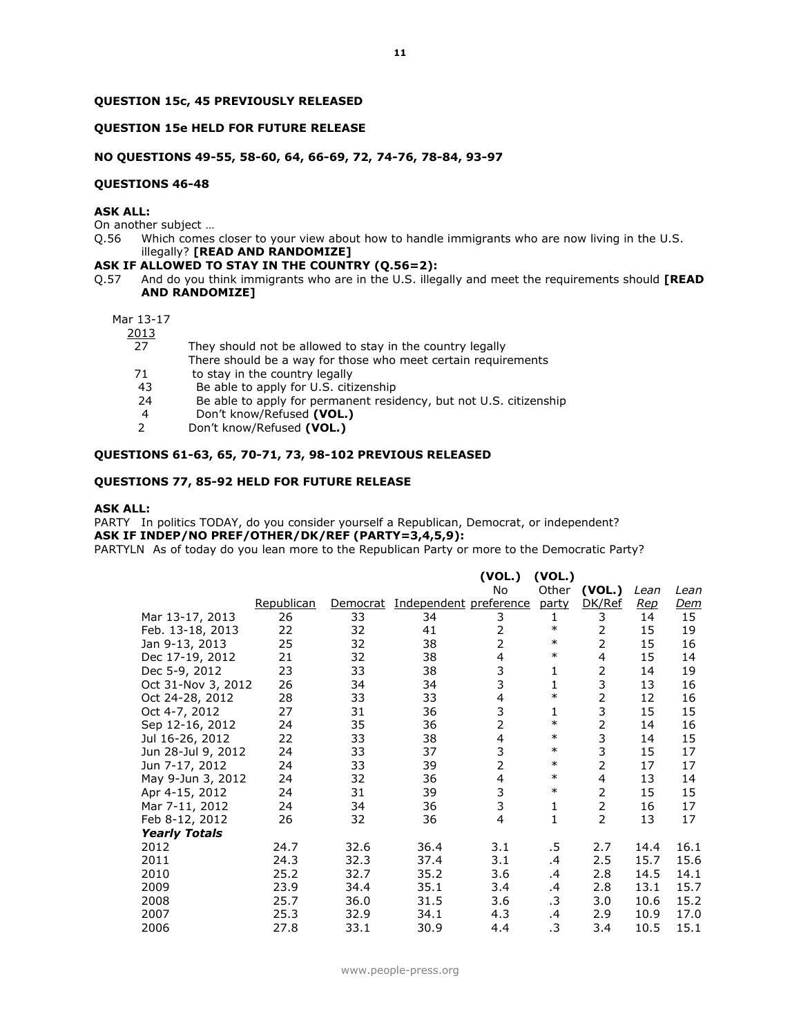#### **QUESTION 15c, 45 PREVIOUSLY RELEASED**

#### **QUESTION 15e HELD FOR FUTURE RELEASE**

#### **NO QUESTIONS 49-55, 58-60, 64, 66-69, 72, 74-76, 78-84, 93-97**

#### **QUESTIONS 46-48**

#### **ASK ALL:**

On another subject …

Q.56 Which comes closer to your view about how to handle immigrants who are now living in the U.S. illegally? **[READ AND RANDOMIZE]**

#### **ASK IF ALLOWED TO STAY IN THE COUNTRY (Q.56=2):**

Q.57 And do you think immigrants who are in the U.S. illegally and meet the requirements should **[READ AND RANDOMIZE]**

#### Mar 13-17

2013

- 27 They should not be allowed to stay in the country legally
	- There should be a way for those who meet certain requirements
- 71 to stay in the country legally<br>43 Be able to apply for U.S. citi
- Be able to apply for U.S. citizenship
- 24 Be able to apply for permanent residency, but not U.S. citizenship
- 4 Don't know/Refused **(VOL.)**
- 2 Don't know/Refused **(VOL.)**

#### **QUESTIONS 61-63, 65, 70-71, 73, 98-102 PREVIOUS RELEASED**

#### **QUESTIONS 77, 85-92 HELD FOR FUTURE RELEASE**

#### **ASK ALL:**

PARTY In politics TODAY, do you consider yourself a Republican, Democrat, or independent? **ASK IF INDEP/NO PREF/OTHER/DK/REF (PARTY=3,4,5,9):** PARTYLN As of today do you lean more to the Republican Party or more to the Democratic Party?

|                      |            |          |                        | (VOL.)                  | (VOL.) |                |      |            |
|----------------------|------------|----------|------------------------|-------------------------|--------|----------------|------|------------|
|                      |            |          |                        | No                      | Other  | (VOL.)         | Lean | Lean       |
|                      | Republican | Democrat | Independent preference |                         | party  | DK/Ref         | Rep  | <u>Dem</u> |
| Mar 13-17, 2013      | 26         | 33       | 34                     | 3                       | 1      | 3              | 14   | 15         |
| Feb. 13-18, 2013     | 22         | 32       | 41                     | $\overline{2}$          | $\ast$ | 2              | 15   | 19         |
| Jan 9-13, 2013       | 25         | 32       | 38                     | $\overline{2}$          | $\ast$ | 2              | 15   | 16         |
| Dec 17-19, 2012      | 21         | 32       | 38                     | 4                       | $\ast$ | 4              | 15   | 14         |
| Dec 5-9, 2012        | 23         | 33       | 38                     | 3                       | 1      | 2              | 14   | 19         |
| Oct 31-Nov 3, 2012   | 26         | 34       | 34                     | 3                       | 1      | 3              | 13   | 16         |
| Oct 24-28, 2012      | 28         | 33       | 33                     | 4                       | $\ast$ | 2              | 12   | 16         |
| Oct 4-7, 2012        | 27         | 31       | 36                     | 3                       | 1      | 3              | 15   | 15         |
| Sep 12-16, 2012      | 24         | 35       | 36                     | $\overline{2}$          | $\ast$ | 2              | 14   | 16         |
| Jul 16-26, 2012      | 22         | 33       | 38                     | $\overline{\mathbf{4}}$ | $\ast$ | 3              | 14   | 15         |
| Jun 28-Jul 9, 2012   | 24         | 33       | 37                     | 3                       | $\ast$ | 3              | 15   | 17         |
| Jun 7-17, 2012       | 24         | 33       | 39                     | $\overline{2}$          | $\ast$ | 2              | 17   | 17         |
| May 9-Jun 3, 2012    | 24         | 32       | 36                     | 4                       | $\ast$ | 4              | 13   | 14         |
| Apr 4-15, 2012       | 24         | 31       | 39                     | 3                       | $\ast$ | 2              | 15   | 15         |
| Mar 7-11, 2012       | 24         | 34       | 36                     | 3                       | 1      | $\overline{2}$ | 16   | 17         |
| Feb 8-12, 2012       | 26         | 32       | 36                     | $\overline{4}$          | 1      | $\overline{2}$ | 13   | 17         |
| <b>Yearly Totals</b> |            |          |                        |                         |        |                |      |            |
| 2012                 | 24.7       | 32.6     | 36.4                   | 3.1                     | .5     | 2.7            | 14.4 | 16.1       |
| 2011                 | 24.3       | 32.3     | 37.4                   | 3.1                     | .4     | 2.5            | 15.7 | 15.6       |
| 2010                 | 25.2       | 32.7     | 35.2                   | 3.6                     | .4     | 2.8            | 14.5 | 14.1       |
| 2009                 | 23.9       | 34.4     | 35.1                   | 3.4                     | .4     | 2.8            | 13.1 | 15.7       |
| 2008                 | 25.7       | 36.0     | 31.5                   | 3.6                     | .3     | 3.0            | 10.6 | 15.2       |
| 2007                 | 25.3       | 32.9     | 34.1                   | 4.3                     | .4     | 2.9            | 10.9 | 17.0       |
| 2006                 | 27.8       | 33.1     | 30.9                   | 4.4                     | .3     | 3.4            | 10.5 | 15.1       |